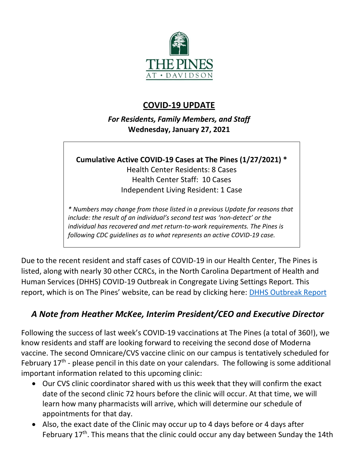

## **COVID-19 UPDATE**

*For Residents, Family Members, and Staff* **Wednesday, January 27, 2021**

**Cumulative Active COVID-19 Cases at The Pines (1/27/2021) \***

Health Center Residents: 8 Cases Health Center Staff: 10 Cases Independent Living Resident: 1 Case

*\* Numbers may change from those listed in a previous Update for reasons that include: the result of an individual's second test was 'non-detect' or the individual has recovered and met return-to-work requirements. The Pines is following CDC guidelines as to what represents an active COVID-19 case.*

Due to the recent resident and staff cases of COVID-19 in our Health Center, The Pines is listed, along with nearly 30 other CCRCs, in the North Carolina Department of Health and Human Services (DHHS) COVID-19 Outbreak in Congregate Living Settings Report. This report, which is on The Pines' website, can be read by clicking here: [DHHS Outbreak Report](https://www.mycommunity-center.com/filephotos/463/January%2026%202021%20DHHS%20Report%20Updated.pdf)

# *A Note from Heather McKee, Interim President/CEO and Executive Director*

Following the success of last week's COVID-19 vaccinations at The Pines (a total of 360!), we know residents and staff are looking forward to receiving the second dose of Moderna vaccine. The second Omnicare/CVS vaccine clinic on our campus is tentatively scheduled for February 17<sup>th</sup> - please pencil in this date on your calendars. The following is some additional important information related to this upcoming clinic:

- Our CVS clinic coordinator shared with us this week that they will confirm the exact date of the second clinic 72 hours before the clinic will occur. At that time, we will learn how many pharmacists will arrive, which will determine our schedule of appointments for that day.
- Also, the exact date of the Clinic may occur up to 4 days before or 4 days after February 17<sup>th</sup>. This means that the clinic could occur any day between Sunday the 14th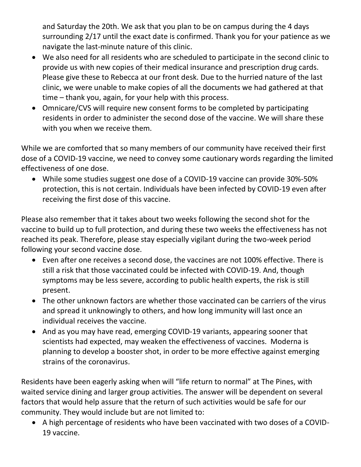and Saturday the 20th. We ask that you plan to be on campus during the 4 days surrounding 2/17 until the exact date is confirmed. Thank you for your patience as we navigate the last-minute nature of this clinic.

- We also need for all residents who are scheduled to participate in the second clinic to provide us with new copies of their medical insurance and prescription drug cards. Please give these to Rebecca at our front desk. Due to the hurried nature of the last clinic, we were unable to make copies of all the documents we had gathered at that time – thank you, again, for your help with this process.
- Omnicare/CVS will require new consent forms to be completed by participating residents in order to administer the second dose of the vaccine. We will share these with you when we receive them.

While we are comforted that so many members of our community have received their first dose of a COVID-19 vaccine, we need to convey some cautionary words regarding the limited effectiveness of one dose.

• While some studies suggest one dose of a COVID-19 vaccine can provide 30%-50% protection, this is not certain. Individuals have been infected by COVID-19 even after receiving the first dose of this vaccine.

Please also remember that it takes about two weeks following the second shot for the vaccine to build up to full protection, and during these two weeks the effectiveness has not reached its peak. Therefore, please stay especially vigilant during the two-week period following your second vaccine dose.

- Even after one receives a second dose, the vaccines are not 100% effective. There is still a risk that those vaccinated could be infected with COVID-19. And, though symptoms may be less severe, according to public health experts, the risk is still present.
- The other unknown factors are whether those vaccinated can be carriers of the virus and spread it unknowingly to others, and how long immunity will last once an individual receives the vaccine.
- And as you may have read, emerging COVID-19 variants, appearing sooner that scientists had expected, may weaken the effectiveness of vaccines. Moderna is planning to develop a booster shot, in order to be more effective against emerging strains of the coronavirus.

Residents have been eagerly asking when will "life return to normal" at The Pines, with waited service dining and larger group activities. The answer will be dependent on several factors that would help assure that the return of such activities would be safe for our community. They would include but are not limited to:

• A high percentage of residents who have been vaccinated with two doses of a COVID-19 vaccine.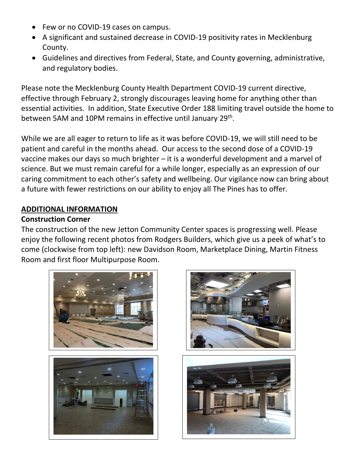- Few or no COVID-19 cases on campus.
- A significant and sustained decrease in COVID-19 positivity rates in Mecklenburg County.
- Guidelines and directives from Federal, State, and County governing, administrative, and regulatory bodies.

Please note the Mecklenburg County Health Department COVID-19 current directive, effective through February 2, strongly discourages leaving home for anything other than essential activities. In addition, State Executive Order 188 limiting travel outside the home to between 5AM and 10PM remains in effective until January 29<sup>th</sup>.

While we are all eager to return to life as it was before COVID-19, we will still need to be patient and careful in the months ahead. Our access to the second dose of a COVID-19 vaccine makes our days so much brighter – it is a wonderful development and a marvel of science. But we must remain careful for a while longer, especially as an expression of our caring commitment to each other's safety and wellbeing. Our vigilance now can bring about a future with fewer restrictions on our ability to enjoy all The Pines has to offer.

#### **ADDITIONAL INFORMATION**

### **Construction Corner**

The construction of the new Jetton Community Center spaces is progressing well. Please enjoy the following recent photos from Rodgers Builders, which give us a peek of what's to come (clockwise from top left): new Davidson Room, Marketplace Dining, Martin Fitness Room and first floor Multipurpose Room.